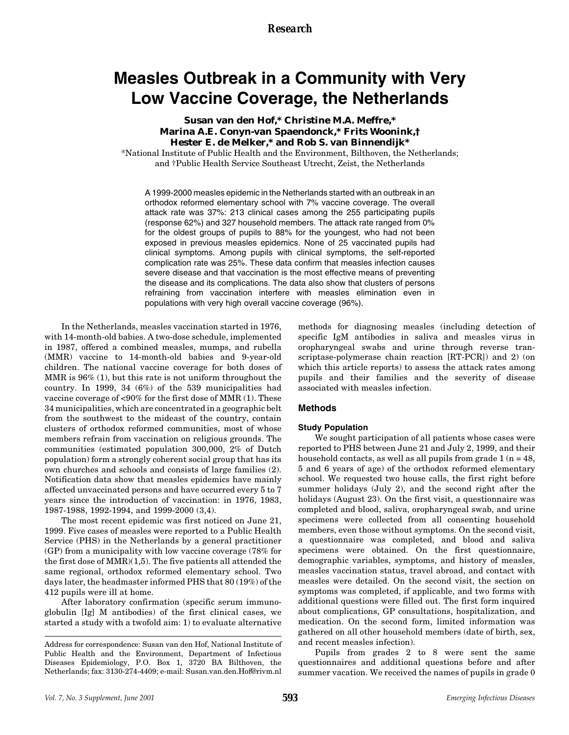*Research*

# **Measles Outbreak in a Community with Very Low Vaccine Coverage, the Netherlands**

# **Susan van den Hof,\* Christine M.A. Meffre,\* Marina A.E. Conyn-van Spaendonck,\* Frits Woonink,† Hester E. de Melker,\* and Rob S. van Binnendijk\***

\*National Institute of Public Health and the Environment, Bilthoven, the Netherlands; and †Public Health Service Southeast Utrecht, Zeist, the Netherlands

A 1999-2000 measles epidemic in the Netherlands started with an outbreak in an orthodox reformed elementary school with 7% vaccine coverage. The overall attack rate was 37%: 213 clinical cases among the 255 participating pupils (response 62%) and 327 household members. The attack rate ranged from 0% for the oldest groups of pupils to 88% for the youngest, who had not been exposed in previous measles epidemics. None of 25 vaccinated pupils had clinical symptoms. Among pupils with clinical symptoms, the self-reported complication rate was 25%. These data confirm that measles infection causes severe disease and that vaccination is the most effective means of preventing the disease and its complications. The data also show that clusters of persons refraining from vaccination interfere with measles elimination even in populations with very high overall vaccine coverage (96%).

In the Netherlands, measles vaccination started in 1976, with 14-month-old babies. A two-dose schedule, implemented in 1987, offered a combined measles, mumps, and rubella (MMR) vaccine to 14-month-old babies and 9-year-old children. The national vaccine coverage for both doses of MMR is 96% (1), but this rate is not uniform throughout the country. In 1999, 34 (6%) of the 539 municipalities had vaccine coverage of <90% for the first dose of MMR (1). These 34 municipalities, which are concentrated in a geographic belt from the southwest to the mideast of the country, contain clusters of orthodox reformed communities, most of whose members refrain from vaccination on religious grounds. The communities (estimated population 300,000, 2% of Dutch population) form a strongly coherent social group that has its own churches and schools and consists of large families (2). Notification data show that measles epidemics have mainly affected unvaccinated persons and have occurred every 5 to 7 years since the introduction of vaccination: in 1976, 1983, 1987-1988, 1992-1994, and 1999-2000 (3,4).

The most recent epidemic was first noticed on June 21, 1999. Five cases of measles were reported to a Public Health Service (PHS) in the Netherlands by a general practitioner (GP) from a municipality with low vaccine coverage (78% for the first dose of MMR)(1,5). The five patients all attended the same regional, orthodox reformed elementary school. Two days later, the headmaster informed PHS that 80 (19%) of the 412 pupils were ill at home.

After laboratory confirmation (specific serum immunoglobulin [Ig] M antibodies) of the first clinical cases, we started a study with a twofold aim: 1) to evaluate alternative methods for diagnosing measles (including detection of specific IgM antibodies in saliva and measles virus in oropharyngeal swabs and urine through reverse transcriptase-polymerase chain reaction [RT-PCR]) and 2) (on which this article reports) to assess the attack rates among pupils and their families and the severity of disease associated with measles infection.

# **Methods**

#### **Study Population**

We sought participation of all patients whose cases were reported to PHS between June 21 and July 2, 1999, and their household contacts, as well as all pupils from grade  $1 (n = 48,$ 5 and 6 years of age) of the orthodox reformed elementary school. We requested two house calls, the first right before summer holidays (July 2), and the second right after the holidays (August 23). On the first visit, a questionnaire was completed and blood, saliva, oropharyngeal swab, and urine specimens were collected from all consenting household members, even those without symptoms. On the second visit, a questionnaire was completed, and blood and saliva specimens were obtained. On the first questionnaire, demographic variables, symptoms, and history of measles, measles vaccination status, travel abroad, and contact with measles were detailed. On the second visit, the section on symptoms was completed, if applicable, and two forms with additional questions were filled out. The first form inquired about complications, GP consultations, hospitalization, and medication. On the second form, limited information was gathered on all other household members (date of birth, sex, and recent measles infection).

Pupils from grades 2 to 8 were sent the same questionnaires and additional questions before and after summer vacation. We received the names of pupils in grade 0

Address for correspondence: Susan van den Hof, National Institute of Public Health and the Environment, Department of Infectious Diseases Epidemiology, P.O. Box 1, 3720 BA Bilthoven, the Netherlands; fax: 3130-274-4409; e-mail: Susan.van.den.Hof@rivm.nl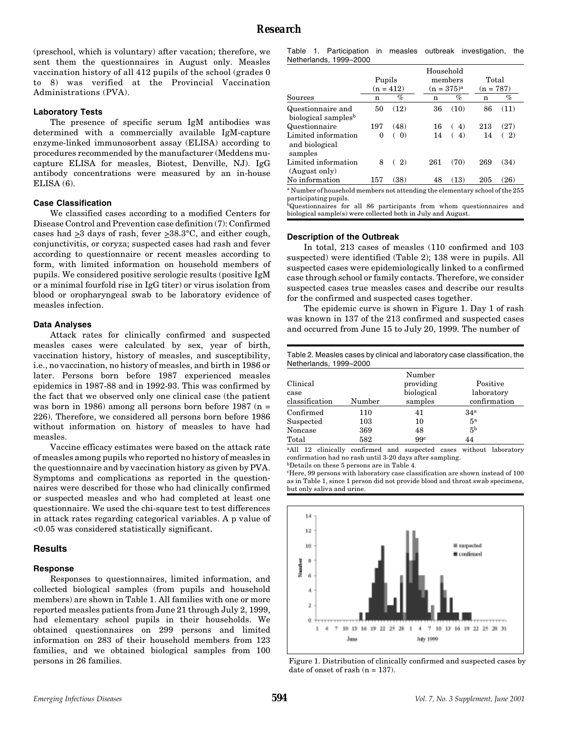(preschool, which is voluntary) after vacation; therefore, we sent them the questionnaires in August only. Measles vaccination history of all 412 pupils of the school (grades 0 to 8) was verified at the Provincial Vaccination Administrations (PVA).

#### **Laboratory Tests**

The presence of specific serum IgM antibodies was determined with a commercially available IgM-capture enzyme-linked immunosorbent assay (ELISA) according to procedures recommended by the manufacturer (Meddens mucapture ELISA for measles, Biotest, Denville, NJ). IgG antibody concentrations were measured by an in-house ELISA (6).

#### **Case Classification**

We classified cases according to a modified Centers for Disease Control and Prevention case definition (7): Confirmed cases had  $\geq 3$  days of rash, fever  $\geq 38.3^{\circ}$ C, and either cough, conjunctivitis, or coryza; suspected cases had rash and fever according to questionnaire or recent measles according to form, with limited information on household members of pupils. We considered positive serologic results (positive IgM or a minimal fourfold rise in IgG titer) or virus isolation from blood or oropharyngeal swab to be laboratory evidence of measles infection.

#### **Data Analyses**

Attack rates for clinically confirmed and suspected measles cases were calculated by sex, year of birth, vaccination history, history of measles, and susceptibility, i.e., no vaccination, no history of measles, and birth in 1986 or later. Persons born before 1987 experienced measles epidemics in 1987-88 and in 1992-93. This was confirmed by the fact that we observed only one clinical case (the patient was born in 1986) among all persons born before 1987 (n = 226). Therefore, we considered all persons born before 1986 without information on history of measles to have had measles.

Vaccine efficacy estimates were based on the attack rate of measles among pupils who reported no history of measles in the questionnaire and by vaccination history as given by PVA. Symptoms and complications as reported in the questionnaires were described for those who had clinically confirmed or suspected measles and who had completed at least one questionnaire. We used the chi-square test to test differences in attack rates regarding categorical variables. A p value of <0.05 was considered statistically significant.

#### **Results**

#### **Response**

Responses to questionnaires, limited information, and collected biological samples (from pupils and household members) are shown in Table 1. All families with one or more reported measles patients from June 21 through July 2, 1999, had elementary school pupils in their households. We obtained questionnaires on 299 persons and limited information on 283 of their household members from 123 families, and we obtained biological samples from 100 persons in 26 families.

|  |                        |  | Table 1. Participation in measles outbreak investigation, the |  |
|--|------------------------|--|---------------------------------------------------------------|--|
|  | Netherlands, 1999-2000 |  |                                                               |  |

|                                                                                         |        |                   | Household |                   |             |       |  |
|-----------------------------------------------------------------------------------------|--------|-------------------|-----------|-------------------|-------------|-------|--|
|                                                                                         | Pupils |                   |           | members           |             | Total |  |
|                                                                                         |        | $(n = 412)$       |           | $(n = 375)^{a}$   | $(n = 787)$ |       |  |
| Sources                                                                                 | n      | %                 | n         | $\bar{\%}$        | n           | $\%$  |  |
| Questionnaire and<br>biological samples <sup>b</sup>                                    | 50     | (12)              | 36        | (10)              | 86          | (11)  |  |
| Questionnaire                                                                           | 197    | (48)              | 16        | 4)                | 213         | (27)  |  |
| Limited information<br>and biological<br>samples                                        | 0      | $\left( 0\right)$ | 14        | $\left( 4\right)$ | 14          | 2)    |  |
| Limited information<br>(August only)                                                    | 8      | 2)                | 261       | (70)              | 269         | (34)  |  |
| No information                                                                          | 157    | (38)              | 48        | (13)              | 205         | (26)  |  |
| <sup>a</sup> Number of household members not attending the elementary school of the 255 |        |                   |           |                   |             |       |  |

participating pupils. bQuestionnaires for all 86 participants from whom questionnaires and

biological sample(s) were collected both in July and August.

#### **Description of the Outbreak**

In total, 213 cases of measles (110 confirmed and 103 suspected) were identified (Table 2); 138 were in pupils. All suspected cases were epidemiologically linked to a confirmed case through school or family contacts. Therefore, we consider suspected cases true measles cases and describe our results for the confirmed and suspected cases together.

The epidemic curve is shown in Figure 1. Day 1 of rash was known in 137 of the 213 confirmed and suspected cases and occurred from June 15 to July 20, 1999. The number of

| Netherlands, 1999-2000 |        |                 | Table 2. Measles cases by clinical and laboratory case classification, the |
|------------------------|--------|-----------------|----------------------------------------------------------------------------|
|                        |        | Number          |                                                                            |
| Clinical               |        | providing       | Positive                                                                   |
| case                   |        | biological      | laboratory                                                                 |
| classification         | Number | samples         | confirmation                                                               |
| Confirmed              | 110    | 41              | 34 <sup>a</sup>                                                            |
| Suspected              | 103    | 10              | 5 <sup>a</sup>                                                             |
| Noncase                | 369    | 48              | 5 <sup>b</sup>                                                             |
| Total                  | 582    | 99 <sup>c</sup> | 44                                                                         |

<sup>a</sup>All 12 clinically confirmed and suspected cases without laboratory confirmation had no rash until 3-20 days after sampling.

bDetails on these 5 persons are in Table 4.

cHere, 99 persons with laboratory case classification are shown instead of 100 as in Table 1, since 1 person did not provide blood and throat swab specimens, but only saliva and urine.



Figure 1. Distribution of clinically confirmed and suspected cases by date of onset of rash (n = 137).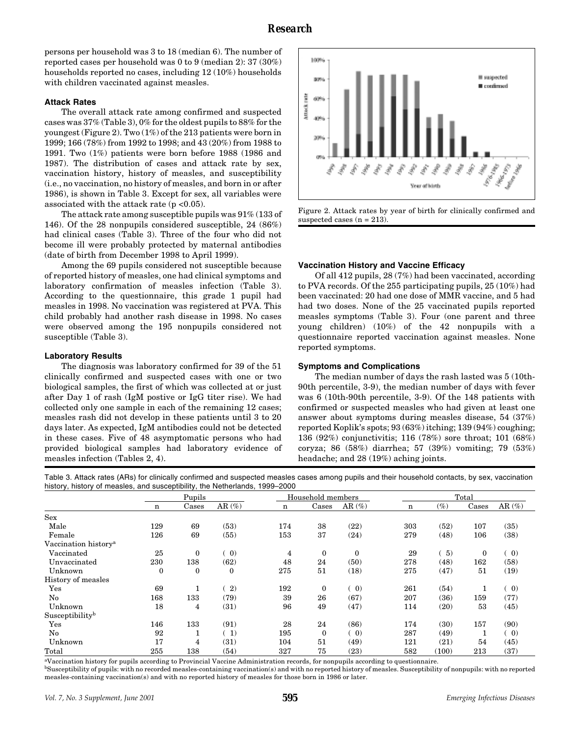persons per household was 3 to 18 (median 6). The number of reported cases per household was 0 to 9 (median 2): 37 (30%) households reported no cases, including 12 (10%) households with children vaccinated against measles.

#### **Attack Rates**

The overall attack rate among confirmed and suspected cases was 37% (Table 3), 0% for the oldest pupils to 88% for the youngest (Figure 2). Two (1%) of the 213 patients were born in 1999; 166 (78%) from 1992 to 1998; and 43 (20%) from 1988 to 1991. Two (1%) patients were born before 1988 (1986 and 1987). The distribution of cases and attack rate by sex, vaccination history, history of measles, and susceptibility (i.e., no vaccination, no history of measles, and born in or after 1986), is shown in Table 3. Except for sex, all variables were associated with the attack rate  $(p < 0.05)$ .

The attack rate among susceptible pupils was 91% (133 of 146). Of the 28 nonpupils considered susceptible, 24 (86%) had clinical cases (Table 3). Three of the four who did not become ill were probably protected by maternal antibodies (date of birth from December 1998 to April 1999).

Among the 69 pupils considered not susceptible because of reported history of measles, one had clinical symptoms and laboratory confirmation of measles infection (Table 3). According to the questionnaire, this grade 1 pupil had measles in 1998. No vaccination was registered at PVA. This child probably had another rash disease in 1998. No cases were observed among the 195 nonpupils considered not susceptible (Table 3).

#### **Laboratory Results**

The diagnosis was laboratory confirmed for 39 of the 51 clinically confirmed and suspected cases with one or two biological samples, the first of which was collected at or just after Day 1 of rash (IgM postive or IgG titer rise). We had collected only one sample in each of the remaining 12 cases; measles rash did not develop in these patients until 3 to 20 days later. As expected, IgM antibodies could not be detected in these cases. Five of 48 asymptomatic persons who had provided biological samples had laboratory evidence of measles infection (Tables 2, 4).



Figure 2. Attack rates by year of birth for clinically confirmed and suspected cases  $(n = 213)$ .

#### **Vaccination History and Vaccine Efficacy**

Of all 412 pupils, 28 (7%) had been vaccinated, according to PVA records. Of the 255 participating pupils, 25 (10%) had been vaccinated: 20 had one dose of MMR vaccine, and 5 had had two doses. None of the 25 vaccinated pupils reported measles symptoms (Table 3). Four (one parent and three young children) (10%) of the 42 nonpupils with a questionnaire reported vaccination against measles. None reported symptoms.

#### **Symptoms and Complications**

The median number of days the rash lasted was 5 (10th-90th percentile, 3-9), the median number of days with fever was 6 (10th-90th percentile, 3-9). Of the 148 patients with confirmed or suspected measles who had given at least one answer about symptoms during measles disease, 54 (37%) reported Koplik's spots; 93 (63%) itching; 139 (94%) coughing; 136 (92%) conjunctivitis; 116 (78%) sore throat; 101 (68%) coryza; 86 (58%) diarrhea; 57 (39%) vomiting; 79 (53%) headache; and 28 (19%) aching joints.

Table 3. Attack rates (ARs) for clinically confirmed and suspected measles cases among pupils and their household contacts, by sex, vaccination history, history of measles, and susceptibility, the Netherlands, 1999–2000

|                                  | Pupils      |              |              | Household members |                  |                   | Total       |        |       |                   |
|----------------------------------|-------------|--------------|--------------|-------------------|------------------|-------------------|-------------|--------|-------|-------------------|
|                                  | $\mathbf n$ | Cases        | AR $(\%)$    | n                 | Cases            | AR $(\%)$         | $\mathbf n$ | $(\%)$ | Cases | AR $(\%)$         |
| Sex                              |             |              |              |                   |                  |                   |             |        |       |                   |
| Male                             | 129         | 69           | (53)         | 174               | 38               | (22)              | 303         | (52)   | 107   | (35)              |
| Female                           | 126         | 69           | (55)         | 153               | 37               | (24)              | 279         | (48)   | 106   | (38)              |
| Vaccination history <sup>a</sup> |             |              |              |                   |                  |                   |             |        |       |                   |
| Vaccinated                       | 25          | $\mathbf{0}$ | (0)          | $\overline{4}$    | $\boldsymbol{0}$ | $\mathbf{0}$      | 29          | -5)    | 0     | (0)               |
| Unvaccinated                     | 230         | 138          | (62)         | 48                | 24               | (50)              | 278         | (48)   | 162   | (58)              |
| Unknown                          | $\theta$    | $\bf{0}$     | $\mathbf{0}$ | 275               | 51               | (18)              | 275         | (47)   | 51    | (19)              |
| History of measles               |             |              |              |                   |                  |                   |             |        |       |                   |
| Yes                              | 69          | 1            | 2)           | 192               | $\mathbf{0}$     | (0)               | 261         | (54)   |       | $\left( 0\right)$ |
| No                               | 168         | 133          | (79)         | 39                | 26               | (67)              | 207         | (36)   | 159   | (77)              |
| Unknown                          | 18          | 4            | (31)         | 96                | 49               | (47)              | 114         | (20)   | 53    | (45)              |
| Susceptibilityb                  |             |              |              |                   |                  |                   |             |        |       |                   |
| $_{\rm Yes}$                     | 146         | 133          | (91)         | 28                | 24               | (86)              | 174         | (30)   | 157   | (90)              |
| No                               | 92          |              | (1)          | 195               | $\bf{0}$         | $\left( 0\right)$ | 287         | (49)   |       | $\left( 0\right)$ |
| Unknown                          | 17          | 4            | (31)         | 104               | 51               | (49)              | 121         | (21)   | 54    | (45)              |
| Total                            | 255         | 138          | (54)         | 327               | 75               | (23)              | 582         | (100)  | 213   | (37)              |

aVaccination history for pupils according to Provincial Vaccine Administration records, for nonpupils according to questionnaire.

<sup>b</sup>Susceptibility of pupils: with no recorded measles-containing vaccination(s) and with no reported history of measles. Susceptibility of nonpupils: with no reported measles-containing vaccination(s) and with no reported history of measles for those born in 1986 or later.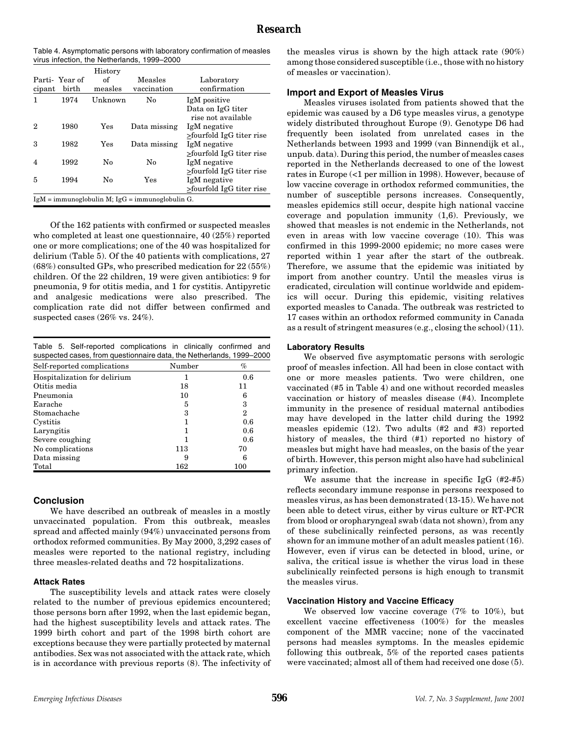| Table 4. Asymptomatic persons with laboratory confirmation of measles |  |
|-----------------------------------------------------------------------|--|
| virus infection, the Netherlands, 1999–2000                           |  |

| cipant                                                      | Parti-Year of<br>birth | History<br>оf<br>measles | Measles<br>vaccination | Laboratory<br>confirmation              |  |  |
|-------------------------------------------------------------|------------------------|--------------------------|------------------------|-----------------------------------------|--|--|
| 1                                                           | 1974                   | Unknown                  | $\mathbf{N}\mathbf{o}$ | IgM positive                            |  |  |
|                                                             |                        |                          |                        | Data on IgG titer<br>rise not available |  |  |
| 2                                                           | 1980                   | Yes                      | Data missing           | IgM negative                            |  |  |
|                                                             |                        |                          |                        | >fourfold IgG titer rise                |  |  |
| 3                                                           | 1982                   | Yes                      | Data missing           | IgM negative                            |  |  |
|                                                             |                        |                          |                        | $\ge$ fourfold IgG titer rise           |  |  |
| 4                                                           | 1992                   | No                       | No                     | IgM negative                            |  |  |
|                                                             |                        |                          |                        | $\ge$ fourfold IgG titer rise           |  |  |
| 5                                                           | 1994                   | No                       | Yes                    | IgM negative                            |  |  |
|                                                             |                        |                          |                        | >fourfold IgG titer rise                |  |  |
| $IgM = \text{immunoglobin M}; IgG = \text{immunoglobin G}.$ |                        |                          |                        |                                         |  |  |

Of the 162 patients with confirmed or suspected measles who completed at least one questionnaire, 40 (25%) reported one or more complications; one of the 40 was hospitalized for delirium (Table 5). Of the 40 patients with complications, 27 (68%) consulted GPs, who prescribed medication for 22 (55%) children. Of the 22 children, 19 were given antibiotics: 9 for pneumonia, 9 for otitis media, and 1 for cystitis. Antipyretic and analgesic medications were also prescribed. The complication rate did not differ between confirmed and suspected cases (26% vs. 24%).

|  | Table 5. Self-reported complications in clinically confirmed and     |  |  |
|--|----------------------------------------------------------------------|--|--|
|  | suspected cases, from questionnaire data, the Netherlands, 1999-2000 |  |  |

| Self-reported complications  | Number | %   |
|------------------------------|--------|-----|
| Hospitalization for delirium | 1      | 0.6 |
| Otitis media                 | 18     | 11  |
| Pneumonia                    | 10     | 6   |
| Earache                      | 5      | 3   |
| Stomachache                  | 3      | 2   |
| Cystitis                     |        | 0.6 |
| Laryngitis                   |        | 0.6 |
| Severe coughing              |        | 0.6 |
| No complications             | 113    | 70  |
| Data missing                 | 9      | 6   |
| Total                        | 162    | 100 |

# **Conclusion**

We have described an outbreak of measles in a mostly unvaccinated population. From this outbreak, measles spread and affected mainly (94%) unvaccinated persons from orthodox reformed communities. By May 2000, 3,292 cases of measles were reported to the national registry, including three measles-related deaths and 72 hospitalizations.

## **Attack Rates**

The susceptibility levels and attack rates were closely related to the number of previous epidemics encountered; those persons born after 1992, when the last epidemic began, had the highest susceptibility levels and attack rates. The 1999 birth cohort and part of the 1998 birth cohort are exceptions because they were partially protected by maternal antibodies. Sex was not associated with the attack rate, which is in accordance with previous reports (8). The infectivity of the measles virus is shown by the high attack rate (90%) among those considered susceptible (i.e., those with no history of measles or vaccination).

## **Import and Export of Measles Virus**

Measles viruses isolated from patients showed that the epidemic was caused by a D6 type measles virus, a genotype widely distributed throughout Europe (9). Genotype D6 had frequently been isolated from unrelated cases in the Netherlands between 1993 and 1999 (van Binnendijk et al., unpub. data). During this period, the number of measles cases reported in the Netherlands decreased to one of the lowest rates in Europe (<1 per million in 1998). However, because of low vaccine coverage in orthodox reformed communities, the number of susceptible persons increases. Consequently, measles epidemics still occur, despite high national vaccine coverage and population immunity (1,6). Previously, we showed that measles is not endemic in the Netherlands, not even in areas with low vaccine coverage (10). This was confirmed in this 1999-2000 epidemic; no more cases were reported within 1 year after the start of the outbreak. Therefore, we assume that the epidemic was initiated by import from another country. Until the measles virus is eradicated, circulation will continue worldwide and epidemics will occur. During this epidemic, visiting relatives exported measles to Canada. The outbreak was restricted to 17 cases within an orthodox reformed community in Canada as a result of stringent measures (e.g., closing the school) (11).

## **Laboratory Results**

We observed five asymptomatic persons with serologic proof of measles infection. All had been in close contact with one or more measles patients. Two were children, one vaccinated (#5 in Table 4) and one without recorded measles vaccination or history of measles disease (#4). Incomplete immunity in the presence of residual maternal antibodies may have developed in the latter child during the 1992 measles epidemic (12). Two adults (#2 and #3) reported history of measles, the third (#1) reported no history of measles but might have had measles, on the basis of the year of birth. However, this person might also have had subclinical primary infection.

We assume that the increase in specific IgG (#2-#5) reflects secondary immune response in persons reexposed to measles virus, as has been demonstrated (13-15). We have not been able to detect virus, either by virus culture or RT-PCR from blood or oropharyngeal swab (data not shown), from any of these subclinically reinfected persons, as was recently shown for an immune mother of an adult measles patient (16). However, even if virus can be detected in blood, urine, or saliva, the critical issue is whether the virus load in these subclinically reinfected persons is high enough to transmit the measles virus.

## **Vaccination History and Vaccine Efficacy**

We observed low vaccine coverage (7% to 10%), but excellent vaccine effectiveness (100%) for the measles component of the MMR vaccine; none of the vaccinated persons had measles symptoms. In the measles epidemic following this outbreak, 5% of the reported cases patients were vaccinated; almost all of them had received one dose (5).